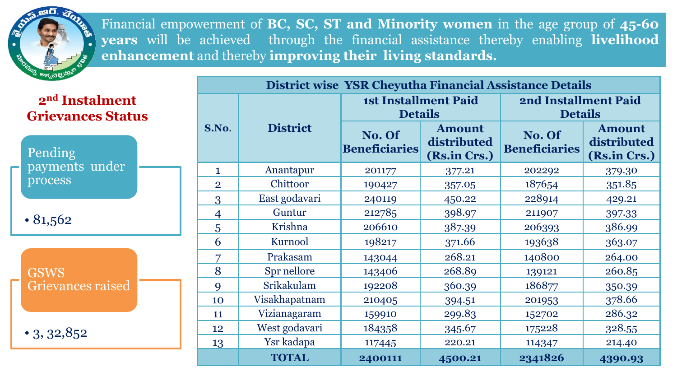Financial empowerment of **BC, SC, ST and Minority women** in the age group of **45-60 years** will be achieved through the financial assistance thereby enabling **livelihood enhancement** and thereby **improving their living standards.**

**2nd Instalment Grievances Status**

Pending payments under process

• 81,562

GSWS Grievances raised

 $\cdot$  3, 32,852

| District wise YSR Cheyutha Financial Assistance Details |                 |                                |                                              |                                        |                                              |  |  |  |  |
|---------------------------------------------------------|-----------------|--------------------------------|----------------------------------------------|----------------------------------------|----------------------------------------------|--|--|--|--|
| S.No.                                                   |                 | <b>Details</b>                 | <b>1st Installment Paid</b>                  | 2nd Installment Paid<br><b>Details</b> |                                              |  |  |  |  |
|                                                         | <b>District</b> | No. Of<br><b>Beneficiaries</b> | <b>Amount</b><br>distributed<br>(Rs.in Crs.) | No. Of<br><b>Beneficiaries</b>         | <b>Amount</b><br>distributed<br>(Rs.in Crs.) |  |  |  |  |
| 1                                                       | Anantapur       | 201177                         | 377.21                                       | 202292                                 | 379.30                                       |  |  |  |  |
| $\overline{2}$                                          | Chittoor        | 190427                         | 357.05                                       | 187654                                 | 351.85                                       |  |  |  |  |
| 3                                                       | East godavari   | 240119                         | 450.22                                       | 228914                                 | 429.21                                       |  |  |  |  |
| $\overline{4}$                                          | Guntur          | 212785                         | 398.97                                       | 211907                                 | 397.33                                       |  |  |  |  |
| 5                                                       | Krishna         | 206610                         | 387.39                                       | 206393                                 | 386.99                                       |  |  |  |  |
| 6                                                       | Kurnool         | 198217                         | 371.66                                       | 193638                                 | 363.07                                       |  |  |  |  |
| 7                                                       | Prakasam        | 143044                         | 268.21                                       | 140800                                 | 264.00                                       |  |  |  |  |
| 8                                                       | Spr nellore     | 143406                         | 268.89                                       | 139121                                 | 260.85                                       |  |  |  |  |
| 9                                                       | Srikakulam      | 192208                         | 360.39                                       | 186877                                 | 350.39                                       |  |  |  |  |
| 10                                                      | Visakhapatnam   | 210405                         | 394.51                                       | 201953                                 | 378.66                                       |  |  |  |  |
| 11                                                      | Vizianagaram    | 159910                         | 299.83                                       | 152702                                 | 286.32                                       |  |  |  |  |
| 12                                                      | West godavari   | 184358                         | 345.67                                       | 175228                                 | 328.55                                       |  |  |  |  |
| 13                                                      | Ysr kadapa      | 117445                         | 220.21                                       | 114347                                 | 214.40                                       |  |  |  |  |
|                                                         | <b>TOTAL</b>    | 2400111                        | 4500.21                                      | 2341826                                | 4390.93                                      |  |  |  |  |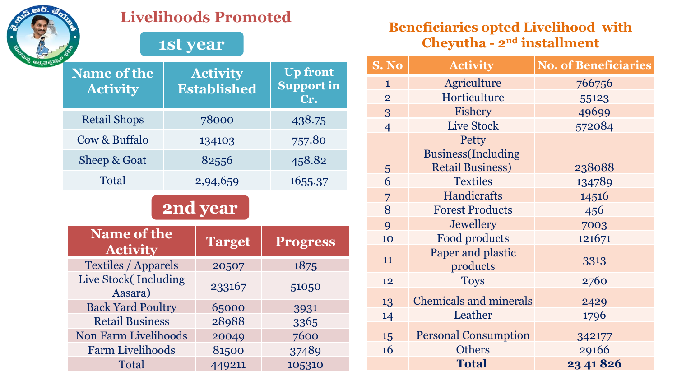

### **Livelihoods Promoted**

## **1st year**

| <b>Name of the</b><br><b>Activity</b> |  | <b>Activity</b><br><b>Established</b> | <b>Up front</b><br><b>Support in</b><br>Cr. |  |  |  |  |  |
|---------------------------------------|--|---------------------------------------|---------------------------------------------|--|--|--|--|--|
| <b>Retail Shops</b>                   |  | 78000                                 | 438.75                                      |  |  |  |  |  |
| Cow & Buffalo                         |  | 134103                                | 757.80                                      |  |  |  |  |  |
| Sheep & Goat                          |  | 82556                                 | 458.82                                      |  |  |  |  |  |
| Total                                 |  | 2,94,659                              | 1655.37                                     |  |  |  |  |  |
| <b>2nd year</b>                       |  |                                       |                                             |  |  |  |  |  |
|                                       |  |                                       |                                             |  |  |  |  |  |
| Name of the<br><b>Activity</b>        |  | <b>Target</b>                         | <b>Progress</b>                             |  |  |  |  |  |
| <b>Textiles / Apparels</b>            |  | 20507                                 | 1875                                        |  |  |  |  |  |
| Live Stock (Including<br>Aasara)      |  | 233167                                | 51050                                       |  |  |  |  |  |
| <b>Back Yard Poultry</b>              |  | 65000                                 | 3931                                        |  |  |  |  |  |
| <b>Retail Business</b>                |  | 28988                                 | 3365                                        |  |  |  |  |  |
| <b>Non Farm Livelihoods</b>           |  | 20049                                 | 7600                                        |  |  |  |  |  |
| <b>Farm Livelihoods</b>               |  | 81500                                 | 37489                                       |  |  |  |  |  |

#### **Beneficiaries opted Livelihood with Cheyutha - 2nd installment**

| S. No          | <b>Activity</b>               | <b>No. of Beneficiaries</b> |
|----------------|-------------------------------|-----------------------------|
| $\mathbf{1}$   | Agriculture                   | 766756                      |
| $\overline{2}$ | Horticulture                  | 55123                       |
| 3              | Fishery                       | 49699                       |
| $\overline{4}$ | <b>Live Stock</b>             | 572084                      |
|                | Petty                         |                             |
|                | <b>Business</b> (Including    |                             |
| 5              | <b>Retail Business)</b>       | 238088                      |
| 6              | <b>Textiles</b>               | 134789                      |
| 7              | <b>Handicrafts</b>            | 14516                       |
| 8              | <b>Forest Products</b>        | 456                         |
| 9              | Jewellery                     | 7003                        |
| 10             | Food products                 | 121671                      |
| 11             | Paper and plastic<br>products | 3313                        |
| 12             | <b>Toys</b>                   | 2760                        |
| 13             | <b>Chemicals and minerals</b> | 2429                        |
| 14             | Leather                       | 1796                        |
| 15             | <b>Personal Consumption</b>   | 342177                      |
| 16             | <b>Others</b>                 | 29166                       |
|                | <b>Total</b>                  | 23 41 8 26                  |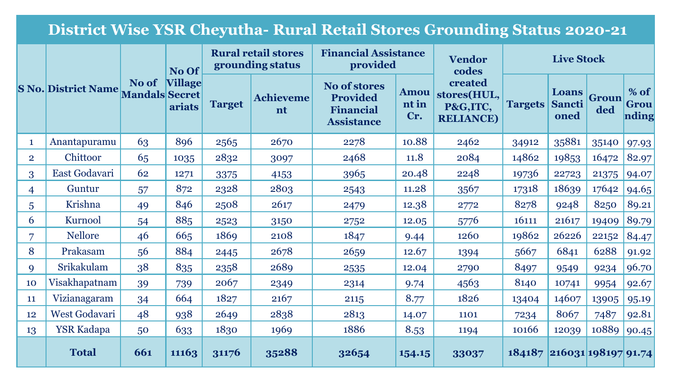# **District Wise YSR Cheyutha- Rural Retail Stores Grounding Status 2020-21**

|                | <b>S No. District Name</b> |                                | No Of                    | <b>Rural retail stores</b><br>grounding status |                 | <b>Financial Assistance</b><br>provided                                         |                             | <b>Vendor</b><br>codes                                 | <b>Live Stock</b> |                                |              |                         |
|----------------|----------------------------|--------------------------------|--------------------------|------------------------------------------------|-----------------|---------------------------------------------------------------------------------|-----------------------------|--------------------------------------------------------|-------------------|--------------------------------|--------------|-------------------------|
|                |                            | No of<br><b>Mandals Secret</b> | <b>Village</b><br>ariats | <b>Target</b>                                  | Achieveme<br>nt | <b>No of stores</b><br><b>Provided</b><br><b>Financial</b><br><b>Assistance</b> | <b>Amou</b><br>nt in<br>Cr. | created<br>stores(HUL,<br>P&G,ITC,<br><b>RELIANCE)</b> | <b>Targets</b>    | Loans<br><b>Sancti</b><br>oned | Groun<br>ded | $%$ of<br>Grou<br>nding |
| $\mathbf{1}$   | Anantapuramu               | 63                             | 896                      | 2565                                           | 2670            | 2278                                                                            | 10.88                       | 2462                                                   | 34912             | 35881                          | 35140        | 97.93                   |
| $\overline{2}$ | Chittoor                   | 65                             | 1035                     | 2832                                           | 3097            | 2468                                                                            | 11.8                        | 2084                                                   | 14862             | 19853                          | 16472        | 82.97                   |
| 3              | East Godavari              | 62                             | 1271                     | 3375                                           | 4153            | 3965                                                                            | 20.48                       | 2248                                                   | 19736             | 22723                          | 21375        | 94.07                   |
| $\overline{4}$ | Guntur                     | 57                             | 872                      | 2328                                           | 2803            | 2543                                                                            | 11.28                       | 3567                                                   | 17318             | 18639                          | 17642        | 94.65                   |
| 5              | Krishna                    | 49                             | 846                      | 2508                                           | 2617            | 2479                                                                            | 12.38                       | 2772                                                   | 8278              | 9248                           | 8250         | 89.21                   |
| 6              | Kurnool                    | 54                             | 885                      | 2523                                           | 3150            | 2752                                                                            | 12.05                       | 5776                                                   | 16111             | 21617                          | 19409        | 89.79                   |
| $\overline{7}$ | <b>Nellore</b>             | 46                             | 665                      | 1869                                           | 2108            | 1847                                                                            | 9.44                        | 1260                                                   | 19862             | 26226                          | 22152        | 84.47                   |
| 8              | Prakasam                   | 56                             | 884                      | 2445                                           | 2678            | 2659                                                                            | 12.67                       | 1394                                                   | 5667              | 6841                           | 6288         | 91.92                   |
| 9              | Srikakulam                 | 38                             | 835                      | 2358                                           | 2689            | 2535                                                                            | 12.04                       | 2790                                                   | 8497              | 9549                           | 9234         | 96.70                   |
| 10             | Visakhapatnam              | 39                             | 739                      | 2067                                           | 2349            | 2314                                                                            | 9.74                        | 4563                                                   | 8140              | 10741                          | 9954         | 92.67                   |
| 11             | Vizianagaram               | 34                             | 664                      | 1827                                           | 2167            | 2115                                                                            | 8.77                        | 1826                                                   | 13404             | 14607                          | 13905        | 95.19                   |
| 12             | West Godavari              | 48                             | 938                      | 2649                                           | 2838            | 2813                                                                            | 14.07                       | 1101                                                   | 7234              | 8067                           | 7487         | 92.81                   |
| 13             | <b>YSR Kadapa</b>          | 50                             | 633                      | 1830                                           | 1969            | 1886                                                                            | 8.53                        | 1194                                                   | 10166             | 12039                          | 10889        | 90.45                   |
|                | <b>Total</b>               | 661                            | 11163                    | 31176                                          | 35288           | 32654                                                                           | 154.15                      | 33037                                                  | 184187            | $216031$ 198197 91.74          |              |                         |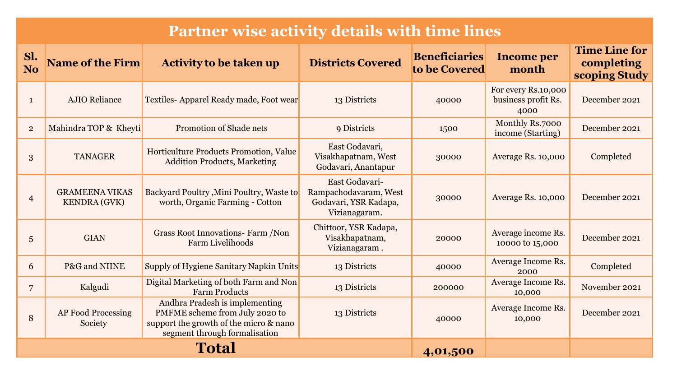# **Partner wise activity details with time lines**

| Sl.<br>N <sub>o</sub> | <b>Name of the Firm</b>                      | <b>Activity to be taken up</b>                                                                                                              | <b>Districts Covered</b>                                                          | <b>Beneficiaries</b><br>to be Covered | <b>Income per</b><br>month                         | <b>Time Line for</b><br>completing<br>scoping Study |
|-----------------------|----------------------------------------------|---------------------------------------------------------------------------------------------------------------------------------------------|-----------------------------------------------------------------------------------|---------------------------------------|----------------------------------------------------|-----------------------------------------------------|
| $\mathbf{1}$          | <b>AJIO Reliance</b>                         | Textiles-Apparel Ready made, Foot wear                                                                                                      | 13 Districts                                                                      | 40000                                 | For every Rs.10,000<br>business profit Rs.<br>4000 | December 2021                                       |
| $\overline{2}$        | Mahindra TOP & Kheyti                        | Promotion of Shade nets                                                                                                                     | 9 Districts                                                                       | 1500                                  | Monthly Rs.7000<br>income (Starting)               | December 2021                                       |
| 3                     | <b>TANAGER</b>                               | Horticulture Products Promotion, Value<br><b>Addition Products, Marketing</b>                                                               | East Godavari,<br>Visakhapatnam, West<br>Godavari, Anantapur                      | 30000                                 | Average Rs. 10,000                                 | Completed                                           |
| $\overline{4}$        | <b>GRAMEENA VIKAS</b><br><b>KENDRA</b> (GVK) | Backyard Poultry, Mini Poultry, Waste to<br>worth, Organic Farming - Cotton                                                                 | East Godavari-<br>Rampachodavaram, West<br>Godavari, YSR Kadapa,<br>Vizianagaram. | 30000                                 | <b>Average Rs. 10,000</b>                          | December 2021                                       |
| 5                     | <b>GIAN</b>                                  | Grass Root Innovations- Farm /Non<br>Farm Livelihoods                                                                                       | Chittoor, YSR Kadapa,<br>Visakhapatnam,<br>Vizianagaram.                          | 20000                                 | Average income Rs.<br>10000 to 15,000              | December 2021                                       |
| 6                     | P&G and NIINE                                | Supply of Hygiene Sanitary Napkin Units                                                                                                     | 13 Districts                                                                      | 40000                                 | Average Income Rs.<br>2000                         | Completed                                           |
| 7                     | Kalgudi                                      | Digital Marketing of both Farm and Non<br><b>Farm Products</b>                                                                              | 13 Districts                                                                      | 200000                                | Average Income Rs.<br>10,000                       | November 2021                                       |
| 8                     | AP Food Processing<br>Society                | Andhra Pradesh is implementing<br>PMFME scheme from July 2020 to<br>support the growth of the micro & nano<br>segment through formalisation | 13 Districts                                                                      | 40000                                 | Average Income Rs.<br>10,000                       | December 2021                                       |
|                       |                                              | Total                                                                                                                                       | 4,01,500                                                                          |                                       |                                                    |                                                     |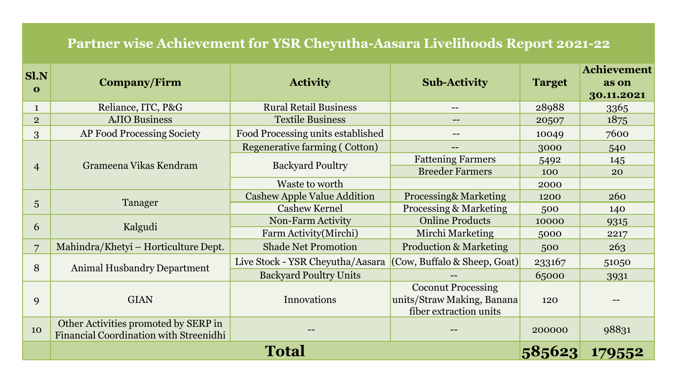### **Partner wise Achievement for YSR Cheyutha-Aasara Livelihoods Report 2021-22**

| Sl.N<br>$\mathbf 0$ | Company/Firm                                                                   | <b>Activity</b>                            | <b>Sub-Activity</b>                                                               | <b>Target</b> | <b>Achievement</b><br>as on<br>30.11.2021 |
|---------------------|--------------------------------------------------------------------------------|--------------------------------------------|-----------------------------------------------------------------------------------|---------------|-------------------------------------------|
| $\mathbf{1}$        | Reliance, ITC, P&G                                                             | <b>Rural Retail Business</b>               | --                                                                                | 28988         | 3365                                      |
| $\overline{2}$      | <b>AJIO Business</b>                                                           | <b>Textile Business</b>                    | $\qquad \qquad -$                                                                 | 20507         | 1875                                      |
| 3                   | AP Food Processing Society                                                     | Food Processing units established          |                                                                                   | 10049         | 7600                                      |
|                     |                                                                                | <b>Regenerative farming (Cotton)</b>       |                                                                                   | 3000          | 540                                       |
|                     | Grameena Vikas Kendram                                                         | <b>Backyard Poultry</b>                    | <b>Fattening Farmers</b>                                                          | 5492          | 145                                       |
| $\overline{4}$      |                                                                                |                                            | <b>Breeder Farmers</b>                                                            | 100           | 20                                        |
|                     |                                                                                | Waste to worth                             |                                                                                   | 2000          |                                           |
|                     |                                                                                | <b>Cashew Apple Value Addition</b>         | <b>Processing&amp; Marketing</b>                                                  | 1200          | <b>260</b>                                |
| 5                   | Tanager                                                                        | <b>Cashew Kernel</b>                       | <b>Processing &amp; Marketing</b>                                                 | 500           | 140                                       |
| 6                   |                                                                                | Non-Farm Activity                          |                                                                                   | 10000         | 9315                                      |
|                     | Kalgudi                                                                        | Farm Activity (Mirchi)<br>Mirchi Marketing |                                                                                   | 5000          | 2217                                      |
| $\overline{7}$      | Mahindra/Khetyi - Horticulture Dept.                                           | <b>Shade Net Promotion</b>                 | <b>Production &amp; Marketing</b>                                                 | 500           | 263                                       |
| 8                   | Animal Husbandry Department                                                    | Live Stock - YSR Cheyutha/Aasara           | (Cow, Buffalo & Sheep, Goat)                                                      | 233167        | 51050                                     |
|                     |                                                                                | <b>Backyard Poultry Units</b>              |                                                                                   | 65000         | 3931                                      |
| 9                   | <b>GIAN</b>                                                                    | Innovations                                | <b>Coconut Processing</b><br>units/Straw Making, Banana<br>fiber extraction units | 120           |                                           |
| 10                  | Other Activities promoted by SERP in<br>Financial Coordination with Streenidhi |                                            |                                                                                   | 200000        | 98831                                     |
|                     |                                                                                | <b>Total</b>                               |                                                                                   | 585623        | 179552                                    |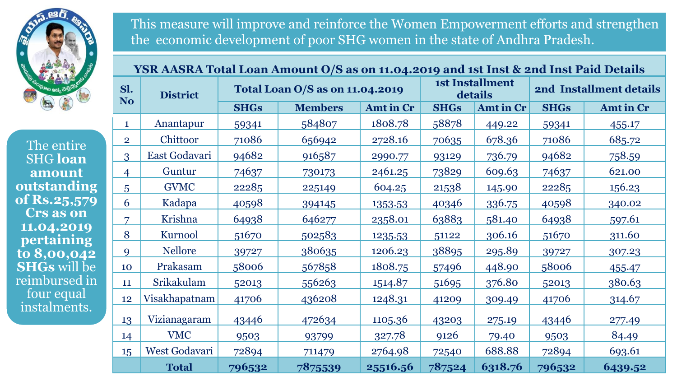

The entire SHG **loan amount outstanding of Rs.25,579 Crs as on 11.04.2019 pertaining to 8,00,042 SHGs** will be reimbursed in four equal instalments.

This measure will improve and reinforce the Women Empowerment efforts and strengthen the economic development of poor SHG women in the state of Andhra Pradesh.

|                | YSR AASRA Total Loan Amount O/S as on 11.04.2019 and 1st Inst & 2nd Inst Paid Details |                                 |                |           |             |                                   |                         |           |  |  |  |
|----------------|---------------------------------------------------------------------------------------|---------------------------------|----------------|-----------|-------------|-----------------------------------|-------------------------|-----------|--|--|--|
| Sl.<br>No      | <b>District</b>                                                                       | Total Loan O/S as on 11.04.2019 |                |           |             | <b>1st Installment</b><br>details | 2nd Installment details |           |  |  |  |
|                |                                                                                       | <b>SHGs</b>                     | <b>Members</b> | Amt in Cr | <b>SHGs</b> | Amt in Cr                         | <b>SHGs</b>             | Amt in Cr |  |  |  |
| $\mathbf{1}$   | Anantapur                                                                             | 59341                           | 584807         | 1808.78   | 58878       | 449.22                            | 59341                   | 455.17    |  |  |  |
| $\overline{2}$ | Chittoor                                                                              | 71086                           | 656942         | 2728.16   | 70635       | 678.36                            | 71086                   | 685.72    |  |  |  |
| 3              | East Godavari                                                                         | 94682                           | 916587         | 2990.77   | 93129       | 736.79                            | 94682                   | 758.59    |  |  |  |
| $\overline{4}$ | Guntur                                                                                | 74637                           | 730173         | 2461.25   | 73829       | 609.63                            | 74637                   | 621.00    |  |  |  |
| 5              | <b>GVMC</b>                                                                           | 22285                           | 225149         | 604.25    | 21538       | 145.90                            | 22285                   | 156.23    |  |  |  |
| 6              | Kadapa                                                                                | 40598                           | 394145         | 1353.53   | 40346       | 336.75                            | 40598                   | 340.02    |  |  |  |
| 7              | Krishna                                                                               | 64938                           | 646277         | 2358.01   | 63883       | 581.40                            | 64938                   | 597.61    |  |  |  |
| 8              | Kurnool                                                                               | 51670                           | 502583         | 1235.53   | 51122       | 306.16                            | 51670                   | 311.60    |  |  |  |
| 9              | <b>Nellore</b>                                                                        | 39727                           | 380635         | 1206.23   | 38895       | 295.89                            | 39727                   | 307.23    |  |  |  |
| 10             | Prakasam                                                                              | 58006                           | 567858         | 1808.75   | 57496       | 448.90                            | 58006                   | 455.47    |  |  |  |
| 11             | Srikakulam                                                                            | 52013                           | 556263         | 1514.87   | 51695       | 376.80                            | 52013                   | 380.63    |  |  |  |
| 12             | Visakhapatnam                                                                         | 41706                           | 436208         | 1248.31   | 41209       | 309.49                            | 41706                   | 314.67    |  |  |  |
| 13             | Vizianagaram                                                                          | 43446                           | 472634         | 1105.36   | 43203       | 275.19                            | 43446                   | 277.49    |  |  |  |
| 14             | <b>VMC</b>                                                                            | 9503                            | 93799          | 327.78    | 9126        | 79.40                             | 9503                    | 84.49     |  |  |  |
| 15             | West Godavari                                                                         | 72894                           | 711479         | 2764.98   | 72540       | 688.88                            | 72894                   | 693.61    |  |  |  |
|                | <b>Total</b>                                                                          | 796532                          | 7875539        | 25516.56  | 787524      | 6318.76                           | 796532                  | 6439.52   |  |  |  |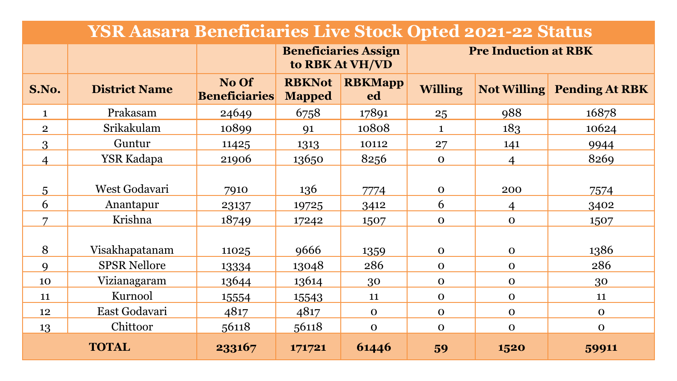| <b>YSR Aasara Beneficiaries Live Stock Opted 2021-22 Status</b> |                            |                                      |                                |                                                |                             |             |                                   |  |
|-----------------------------------------------------------------|----------------------------|--------------------------------------|--------------------------------|------------------------------------------------|-----------------------------|-------------|-----------------------------------|--|
|                                                                 |                            |                                      |                                | <b>Beneficiaries Assign</b><br>to RBK At VH/VD | <b>Pre Induction at RBK</b> |             |                                   |  |
| S.No.                                                           | <b>District Name</b>       | <b>No Of</b><br><b>Beneficiaries</b> | <b>RBKNot</b><br><b>Mapped</b> | <b>RBKMapp</b><br>ed                           | <b>Willing</b>              |             | <b>Not Willing Pending At RBK</b> |  |
| $\mathbf{1}$                                                    | Prakasam                   | 24649                                | 6758                           | 17891                                          | 25                          | 988         | 16878                             |  |
| $\overline{2}$                                                  | Srikakulam                 | 10899                                | 91                             | 10808                                          | 1                           | 183         | 10624                             |  |
| 3                                                               | Guntur                     | 11425                                | 1313                           | 10112                                          | 27                          | 141         | 9944                              |  |
| $\overline{4}$                                                  | YSR Kadapa                 | 21906                                | 13650                          | 8256                                           | $\mathbf 0$                 | 4           | 8269                              |  |
| $\overline{5}$<br>6                                             | West Godavari<br>Anantapur | 7910<br>23137                        | 136<br>19725                   | 7774<br>3412                                   | $\mathbf 0$<br>6            | 200<br>4    | 7574<br>3402                      |  |
| 7                                                               | Krishna                    | 18749                                | 17242                          | 1507                                           | $\mathbf{O}$                | $\mathbf 0$ | 1507                              |  |
| 8                                                               | Visakhapatanam             | 11025                                | 9666                           | 1359                                           | $\mathbf{O}$                | $\mathbf 0$ | 1386                              |  |
| $\mathbf{Q}$                                                    | <b>SPSR Nellore</b>        | 13334                                | 13048                          | 286                                            | $\mathbf{O}$                | $\mathbf 0$ | 286                               |  |
| 10                                                              | Vizianagaram               | 13644                                | 13614                          | 30                                             | $\mathbf{O}$                | $\mathbf 0$ | 30                                |  |
| 11                                                              | Kurnool                    | 15554                                | 15543                          | 11                                             | $\Omega$                    | $\mathbf 0$ | 11                                |  |
| 12                                                              | East Godavari              | 4817                                 | 4817                           | $\Omega$                                       | $\mathbf 0$                 | $\mathbf 0$ | $\mathbf 0$                       |  |
| 13                                                              | Chittoor                   | 56118                                | 56118                          | $\mathbf 0$                                    | $\mathbf 0$                 | $\mathbf 0$ | $\mathbf 0$                       |  |
| <b>TOTAL</b>                                                    |                            | 233167                               | 171721                         | 61446                                          | 59                          | 1520        | 59911                             |  |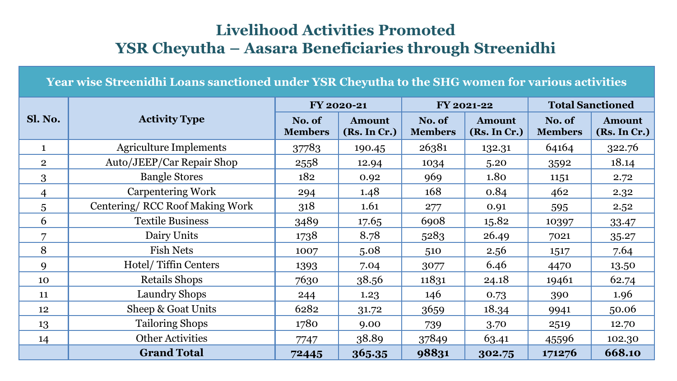## **Livelihood Activities Promoted YSR Cheyutha – Aasara Beneficiaries through Streenidhi**

**Year wise Streenidhi Loans sanctioned under YSR Cheyutha to the SHG women for various activities** 

|                |                                | FY 2020-21               |                               |                          | FY 2021-22                    | <b>Total Sanctioned</b>  |                               |
|----------------|--------------------------------|--------------------------|-------------------------------|--------------------------|-------------------------------|--------------------------|-------------------------------|
| Sl. No.        | <b>Activity Type</b>           | No. of<br><b>Members</b> | <b>Amount</b><br>(Rs. In Cr.) | No. of<br><b>Members</b> | <b>Amount</b><br>(Rs. In Cr.) | No. of<br><b>Members</b> | <b>Amount</b><br>(Rs. In Cr.) |
| $\mathbf{1}$   | <b>Agriculture Implements</b>  | 37783                    | 190.45                        | 26381                    | 132.31                        | 64164                    | 322.76                        |
| $\overline{2}$ | Auto/JEEP/Car Repair Shop      | 2558                     | 12.94                         | 1034                     | 5.20                          | 3592                     | 18.14                         |
| 3              | <b>Bangle Stores</b>           | 182                      | 0.92                          | 969                      | 1.80                          | 1151                     | 2.72                          |
| 4              | <b>Carpentering Work</b>       | 294                      | 1.48                          | 168                      | 0.84                          | 462                      | 2.32                          |
| 5              | Centering/RCC Roof Making Work | 318                      | 1.61                          | 277                      | 0.91                          | 595                      | 2.52                          |
| 6              | <b>Textile Business</b>        | 3489                     | 17.65                         | 6908                     | 15.82                         | 10397                    | 33.47                         |
| 7              | Dairy Units                    | 1738                     | 8.78                          | 5283                     | 26.49                         | 7021                     | 35.27                         |
| 8              | <b>Fish Nets</b>               | 1007                     | 5.08                          | 510                      | 2.56                          | 1517                     | 7.64                          |
| 9              | Hotel/Tiffin Centers           | 1393                     | 7.04                          | 3077                     | 6.46                          | 4470                     | 13.50                         |
| 10             | Retails Shops                  | 7630                     | 38.56                         | 11831                    | 24.18                         | 19461                    | 62.74                         |
| 11             | Laundry Shops                  | 244                      | 1.23                          | 146                      | 0.73                          | 390                      | 1.96                          |
| 12             | Sheep & Goat Units             | 6282                     | 31.72                         | 3659                     | 18.34                         | 9941                     | 50.06                         |
| 13             | <b>Tailoring Shops</b>         | 1780                     | 9.00                          | 739                      | 3.70                          | 2519                     | 12.70                         |
| 14             | <b>Other Activities</b>        | 7747                     | 38.89                         | 37849                    | 63.41                         | 45596                    | 102.30                        |
|                | <b>Grand Total</b>             | 72445                    | 365.35                        | 98831                    | 302.75                        | 171276                   | 668.10                        |